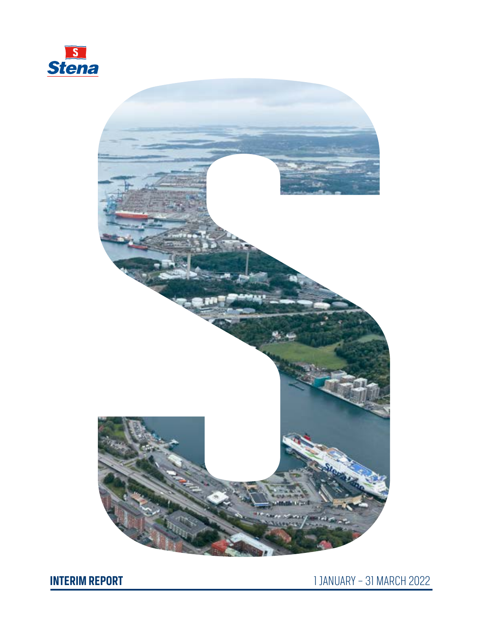



**INTERIM REPORT** 1 JANUARY – 31 MARCH 2022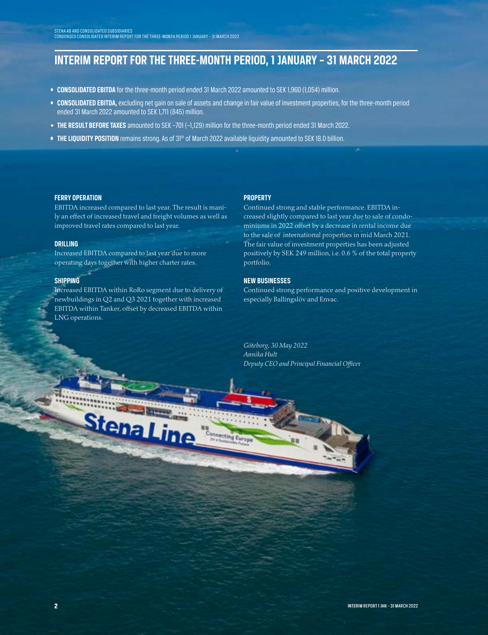# **INTERIM REPORT FOR THE THREE-MONTH PERIOD, 1 JANUARY – 31 MARCH 2022**

- **CONSOLIDATED EBITDA** for the three-month period ended 31 March 2022 amounted to SEK 1,960 (1,054) million.
- **CONSOLIDATED EBITDA,** excluding net gain on sale of assets and change in fair value of investment properties, for the three-month period ended 31 March 2022 amounted to SEK 1,711 (845) million.

**Immecting Euro** 

- **THE RESULT BEFORE TAXES** amounted to SEK –701 (–1,129) million for the three-month period ended 31 March 2022.
- **THE LIQUIDITY POSITION** remains strong. As of 31<sup>th</sup> of March 2022 available liquidity amounted to SEK 18.0 billion.

#### **FERRY OPERATION**

EBITDA increased compared to last year. The result is manily an effect of increased travel and freight volumes as well as improved travel rates compared to last year.

#### **DRILLING**

Increased EBITDA compared to last year due to more operating days together with higher charter rates.

#### **SHIPPING**

Increased EBITDA within RoRo segment due to delivery of newbuildings in Q2 and Q3 2021 together with increased EBITDA within Tanker, offset by decreased EBITDA within LNG operations.

StenaLine

#### **PROPERTY**

Continued strong and stable performance. EBITDA increased slightly compared to last year due to sale of condominiums in 2022 offset by a decrease in rental income due to the sale of international properties in mid March 2021. The fair value of investment properties has been adjusted positively by SEK 249 million, i.e. 0.6 % of the total property portfolio.

#### **NEW BUSINESSES**

Continued strong performance and positive development in especially Ballingslöv and Envac.

*Göteborg, 30 May 2022 Annika Hult Deputy CEO and Principal Financial Office*r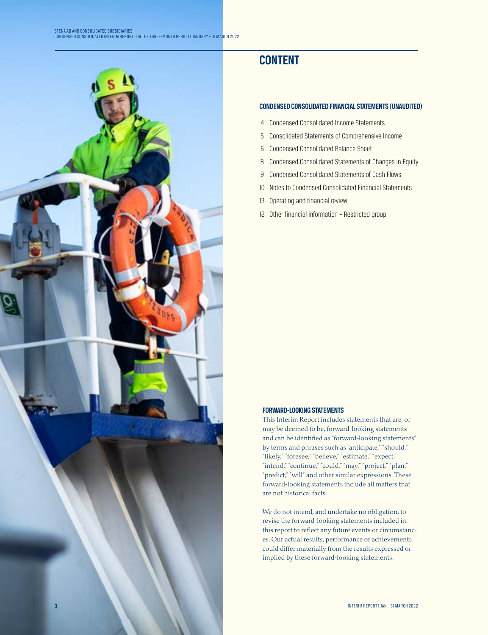

# **CONTENT**

#### **CONDENSED CONSOLIDATED FINANCIAL STATEMENTS (UNAUDITED)**

- 4 Condensed Consolidated Income Statements
- 5 Consolidated Statements of Comprehensive Income
- 6 Condensed Consolidated Balance Sheet
- 8 Condensed Consolidated Statements of Changes in Equity
- 9 Condensed Consolidated Statements of Cash Flows
- 10 Notes to Condensed Consolidated Financial Statements
- 13 Operating and financial review
- 18 Other financial information Restricted group

#### **FORWARD-LOOKING STATEMENTS**

This Interim Report includes statements that are, or may be deemed to be, forward-looking statements and can be identified as "forward-looking statements" by terms and phrases such as "anticipate," "should," "likely," "foresee," "believe," "estimate," "expect," "intend," "continue," "could," "may," "project," "plan," "predict," "will" and other similar expressions. These forward-looking statements include all matters that are not historical facts.

We do not intend, and undertake no obligation, to revise the forward-looking statements included in this report to reflect any future events or circumstances. Our actual results, performance or achievements could differ materially from the results expressed or implied by these forward-looking statements.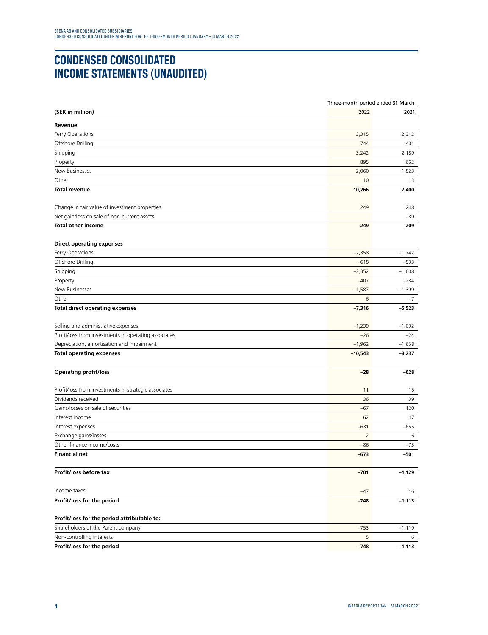# **CONDENSED CONSOLIDATED INCOME STATEMENTS (UNAUDITED)**

|                                                      |                | Three-month period ended 31 March |  |  |  |
|------------------------------------------------------|----------------|-----------------------------------|--|--|--|
| (SEK in million)                                     | 2022           | 2021                              |  |  |  |
| Revenue                                              |                |                                   |  |  |  |
| Ferry Operations                                     | 3,315          | 2,312                             |  |  |  |
| Offshore Drilling                                    | 744            | 401                               |  |  |  |
| Shipping                                             | 3,242          | 2,189                             |  |  |  |
| Property                                             | 895            | 662                               |  |  |  |
| New Businesses                                       | 2,060          | 1,823                             |  |  |  |
| Other                                                | 10             | 13                                |  |  |  |
| <b>Total revenue</b>                                 | 10,266         | 7,400                             |  |  |  |
| Change in fair value of investment properties        | 249            | 248                               |  |  |  |
| Net gain/loss on sale of non-current assets          |                | $-39$                             |  |  |  |
| <b>Total other income</b>                            | 249            | 209                               |  |  |  |
| <b>Direct operating expenses</b>                     |                |                                   |  |  |  |
| Ferry Operations                                     | $-2,358$       | $-1,742$                          |  |  |  |
| Offshore Drilling                                    | $-618$         | $-533$                            |  |  |  |
| Shipping                                             | $-2,352$       | $-1,608$                          |  |  |  |
| Property                                             | $-407$         | $-234$                            |  |  |  |
| New Businesses                                       | $-1,587$       | $-1,399$                          |  |  |  |
| Other                                                | 6              | $-7$                              |  |  |  |
| <b>Total direct operating expenses</b>               | $-7,316$       | $-5,523$                          |  |  |  |
| Selling and administrative expenses                  | $-1,239$       | $-1,032$                          |  |  |  |
| Profit/loss from investments in operating associates | $-26$          | -24                               |  |  |  |
| Depreciation, amortisation and impairment            | $-1,962$       | $-1,658$                          |  |  |  |
| <b>Total operating expenses</b>                      | $-10,543$      | $-8,237$                          |  |  |  |
| <b>Operating profit/loss</b>                         | $-28$          | $-628$                            |  |  |  |
| Profit/loss from investments in strategic associates | 11             | 15                                |  |  |  |
| Dividends received                                   | 36             | 39                                |  |  |  |
| Gains/losses on sale of securities                   | $-67$          | 120                               |  |  |  |
| Interest income                                      | 62             | 47                                |  |  |  |
| Interest expenses                                    | $-631$         | -655                              |  |  |  |
| Exchange gains/losses                                | $\overline{2}$ | 6                                 |  |  |  |
| Other finance income/costs                           | -86            | -73                               |  |  |  |
| <b>Financial net</b>                                 | $-673$         | $-501$                            |  |  |  |
| Profit/loss before tax                               | $-701$         | $-1,129$                          |  |  |  |
| Income taxes                                         | $-47$          | 16                                |  |  |  |
| Profit/loss for the period                           | $-748$         | $-1,113$                          |  |  |  |
| Profit/loss for the period attributable to:          |                |                                   |  |  |  |
| Shareholders of the Parent company                   | $-753$         | $-1,119$                          |  |  |  |
| Non-controlling interests                            | 5              | 6                                 |  |  |  |
| Profit/loss for the period                           | $-748$         | $-1,113$                          |  |  |  |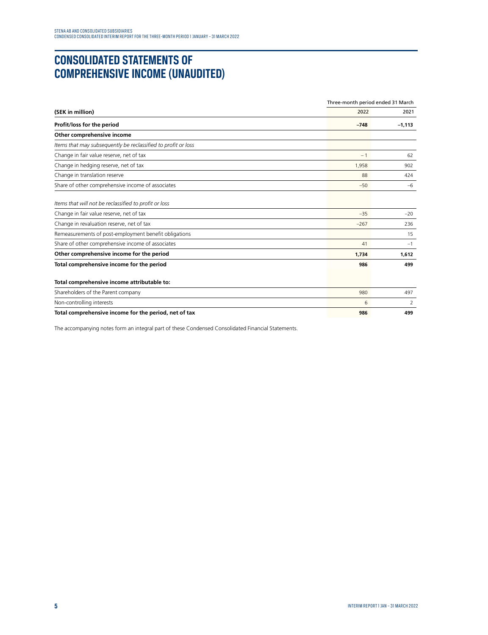### **CONSOLIDATED STATEMENTS OF COMPREHENSIVE INCOME (UNAUDITED)**

|                                                               | Three-month period ended 31 March |          |  |
|---------------------------------------------------------------|-----------------------------------|----------|--|
| (SEK in million)                                              | 2022                              |          |  |
| Profit/loss for the period                                    | $-748$                            | $-1,113$ |  |
| Other comprehensive income                                    |                                   |          |  |
| Items that may subsequently be reclassified to profit or loss |                                   |          |  |
| Change in fair value reserve, net of tax                      | $-1$                              | 62       |  |
| Change in hedging reserve, net of tax                         | 1.958                             | 902      |  |
| Change in translation reserve                                 | 88                                | 424      |  |
| Share of other comprehensive income of associates             | $-50$                             | $-6$     |  |
| Items that will not be reclassified to profit or loss         |                                   |          |  |
| Change in fair value reserve, net of tax                      | $-35$                             | $-20$    |  |
| Change in revaluation reserve, net of tax                     | $-267$                            | 236      |  |
| Remeasurements of post-employment benefit obligations         |                                   | 15       |  |
| Share of other comprehensive income of associates             | 41                                | $-1$     |  |
| Other comprehensive income for the period                     | 1.734                             | 1.612    |  |
| Total comprehensive income for the period                     | 986                               | 499      |  |
| Total comprehensive income attributable to:                   |                                   |          |  |
| Shareholders of the Parent company                            | 980                               | 497      |  |
| Non-controlling interests                                     | 6                                 | 2        |  |
| Total comprehensive income for the period, net of tax         | 986                               | 499      |  |

The accompanying notes form an integral part of these Condensed Consolidated Financial Statements.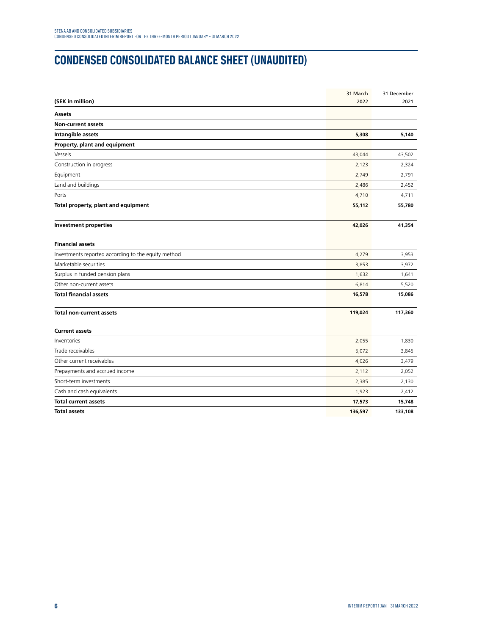# **CONDENSED CONSOLIDATED BALANCE SHEET (UNAUDITED)**

|                                                     | 31 March | 31 December |
|-----------------------------------------------------|----------|-------------|
| (SEK in million)                                    | 2022     | 2021        |
| Assets                                              |          |             |
| <b>Non-current assets</b>                           |          |             |
| Intangible assets                                   | 5,308    | 5,140       |
| Property, plant and equipment                       |          |             |
| Vessels                                             | 43,044   | 43,502      |
| Construction in progress                            | 2,123    | 2,324       |
| Equipment                                           | 2,749    | 2,791       |
| Land and buildings                                  | 2,486    | 2,452       |
| Ports                                               | 4,710    | 4,711       |
| Total property, plant and equipment                 | 55,112   | 55,780      |
| <b>Investment properties</b>                        | 42,026   | 41,354      |
| <b>Financial assets</b>                             |          |             |
| Investments reported according to the equity method | 4,279    | 3,953       |
| Marketable securities                               | 3,853    | 3,972       |
| Surplus in funded pension plans                     | 1,632    | 1,641       |
| Other non-current assets                            | 6,814    | 5,520       |
| <b>Total financial assets</b>                       | 16,578   | 15,086      |
| <b>Total non-current assets</b>                     | 119,024  | 117,360     |
| <b>Current assets</b>                               |          |             |
| Inventories                                         | 2,055    | 1,830       |
| Trade receivables                                   | 5,072    | 3,845       |
| Other current receivables                           | 4,026    | 3,479       |
| Prepayments and accrued income                      | 2,112    | 2,052       |
| Short-term investments                              | 2,385    | 2,130       |
| Cash and cash equivalents                           | 1,923    | 2,412       |
| <b>Total current assets</b>                         | 17,573   | 15,748      |
| <b>Total assets</b>                                 | 136,597  | 133,108     |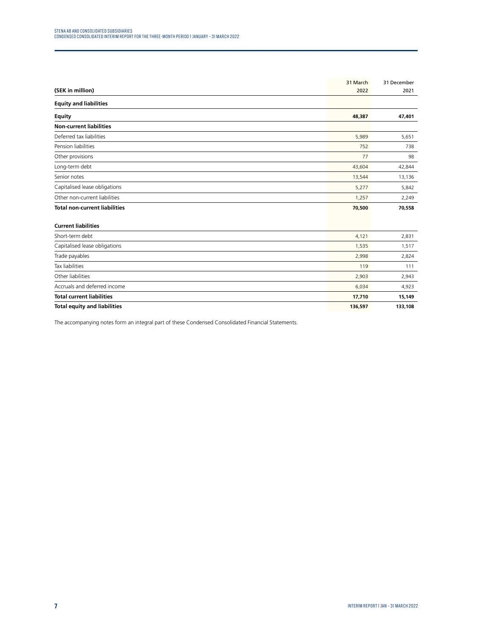| (SEK in million)                     | 31 March<br>2022 | 31 December<br>2021 |
|--------------------------------------|------------------|---------------------|
| <b>Equity and liabilities</b>        |                  |                     |
| <b>Equity</b>                        | 48,387           | 47,401              |
| <b>Non-current liabilities</b>       |                  |                     |
| Deferred tax liabilities             | 5,989            | 5,651               |
| Pension liabilities                  | 752              | 738                 |
| Other provisions                     | 77               | 98                  |
| Long-term debt                       | 43,604           | 42,844              |
| Senior notes                         | 13,544           | 13,136              |
| Capitalised lease obligations        | 5,277            | 5,842               |
| Other non-current liabilities        | 1,257            | 2,249               |
| <b>Total non-current liabilities</b> | 70,500           | 70,558              |
| <b>Current liabilities</b>           |                  |                     |
| Short-term debt                      | 4,121            | 2,831               |
| Capitalised lease obligations        | 1,535            | 1,517               |
| Trade payables                       | 2,998            | 2,824               |
| <b>Tax liabilities</b>               | 119              | 111                 |
| Other liabilities                    | 2,903            | 2,943               |
| Accruals and deferred income         | 6,034            | 4,923               |
| <b>Total current liabilities</b>     | 17,710           | 15,149              |
| <b>Total equity and liabilities</b>  | 136,597          | 133,108             |

The accompanying notes form an integral part of these Condensed Consolidated Financial Statements.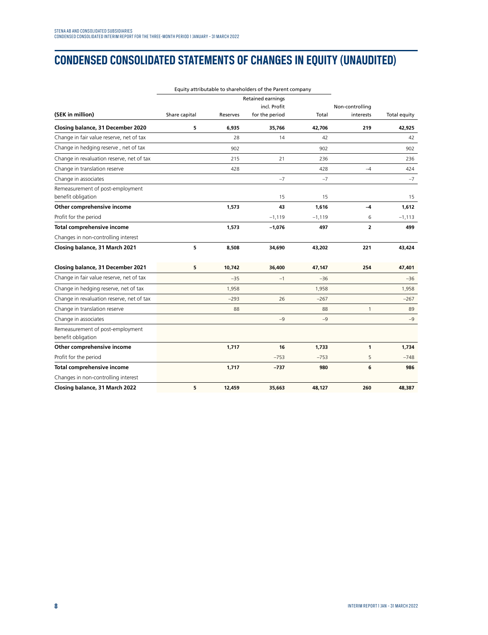# **CONDENSED CONSOLIDATED STATEMENTS OF CHANGES IN EQUITY (UNAUDITED)**

|                                                        |               | Equity attributable to shareholders of the Parent company |                          |          |                 |              |
|--------------------------------------------------------|---------------|-----------------------------------------------------------|--------------------------|----------|-----------------|--------------|
|                                                        |               |                                                           | <b>Retained earnings</b> |          |                 |              |
|                                                        |               |                                                           | incl. Profit             |          | Non-controlling |              |
| (SEK in million)                                       | Share capital | Reserves                                                  | for the period           | Total    | interests       | Total equity |
| Closing balance, 31 December 2020                      | 5             | 6,935                                                     | 35,766                   | 42,706   | 219             | 42,925       |
| Change in fair value reserve, net of tax               |               | 28                                                        | 14                       | 42       |                 | 42           |
| Change in hedging reserve, net of tax                  |               | 902                                                       |                          | 902      |                 | 902          |
| Change in revaluation reserve, net of tax              |               | 215                                                       | 21                       | 236      |                 | 236          |
| Change in translation reserve                          |               | 428                                                       |                          | 428      | $-4$            | 424          |
| Change in associates                                   |               |                                                           | $-7$                     | $-7$     |                 | $-7$         |
| Remeasurement of post-employment<br>benefit obligation |               |                                                           | 15                       | 15       |                 | 15           |
| Other comprehensive income                             |               | 1,573                                                     | 43                       | 1,616    | $-4$            | 1,612        |
| Profit for the period                                  |               |                                                           | $-1,119$                 | $-1,119$ | 6               | $-1,113$     |
| Total comprehensive income                             |               | 1,573                                                     | $-1,076$                 | 497      | $\overline{2}$  | 499          |
| Changes in non-controlling interest                    |               |                                                           |                          |          |                 |              |
| Closing balance, 31 March 2021                         | 5             | 8,508                                                     | 34,690                   | 43,202   | 221             | 43,424       |
| Closing balance, 31 December 2021                      | 5             | 10,742                                                    | 36,400                   | 47,147   | 254             | 47,401       |
| Change in fair value reserve, net of tax               |               | $-35$                                                     | $-1$                     | $-36$    |                 | $-36$        |
| Change in hedging reserve, net of tax                  |               | 1,958                                                     |                          | 1,958    |                 | 1,958        |
| Change in revaluation reserve, net of tax              |               | $-293$                                                    | 26                       | $-267$   |                 | $-267$       |
| Change in translation reserve                          |               | 88                                                        |                          | 88       | $\mathbf{1}$    | 89           |
| Change in associates                                   |               |                                                           | $-9$                     | $-9$     |                 | $-9$         |
| Remeasurement of post-employment<br>benefit obligation |               |                                                           |                          |          |                 |              |
| Other comprehensive income                             |               | 1,717                                                     | 16                       | 1,733    | $\mathbf{1}$    | 1,734        |
| Profit for the period                                  |               |                                                           | $-753$                   | $-753$   | 5               | $-748$       |
| Total comprehensive income                             |               | 1,717                                                     | $-737$                   | 980      | 6               | 986          |
| Changes in non-controlling interest                    |               |                                                           |                          |          |                 |              |
| Closing balance, 31 March 2022                         | 5             | 12,459                                                    | 35,663                   | 48,127   | 260             | 48,387       |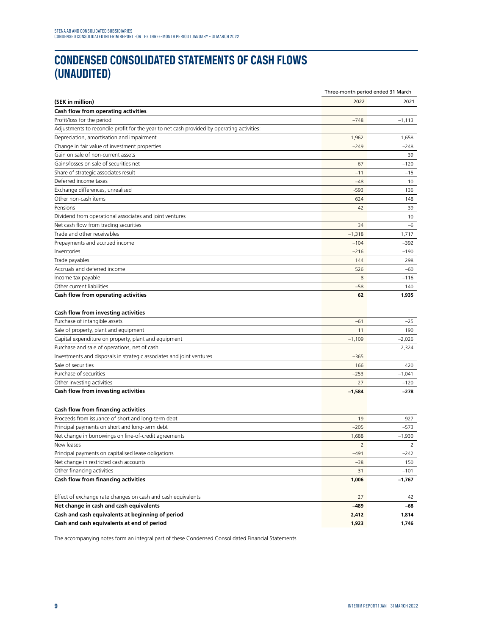# **CONDENSED CONSOLIDATED STATEMENTS OF CASH FLOWS (UNAUDITED)**

|                                                                                            | Three-month period ended 31 March |                |
|--------------------------------------------------------------------------------------------|-----------------------------------|----------------|
| (SEK in million)                                                                           | 2022                              | 2021           |
| Cash flow from operating activities                                                        |                                   |                |
| Profit/loss for the period                                                                 | $-748$                            | $-1,113$       |
| Adjustments to reconcile profit for the year to net cash provided by operating activities: |                                   |                |
| Depreciation, amortisation and impairment                                                  | 1,962                             | 1,658          |
| Change in fair value of investment properties                                              | $-249$                            | $-248$         |
| Gain on sale of non-current assets                                                         |                                   | 39             |
| Gains/losses on sale of securities net                                                     | 67                                | $-120$         |
| Share of strategic associates result                                                       | $-11$                             | $-15$          |
| Deferred income taxes                                                                      | $-48$                             | 10             |
| Exchange differences, unrealised                                                           | $-593$                            | 136            |
| Other non-cash items                                                                       | 624                               | 148            |
| Pensions                                                                                   | 42                                | 39             |
| Dividend from operational associates and joint ventures                                    |                                   | 10             |
| Net cash flow from trading securities                                                      | 34                                | $-6$           |
| Trade and other receivables                                                                | $-1,318$                          | 1,717          |
| Prepayments and accrued income                                                             | $-104$                            | $-392$         |
| Inventories                                                                                | $-216$                            | $-190$         |
| Trade payables                                                                             | 144                               | 298            |
| Accruals and deferred income                                                               | 526                               | $-60$          |
| Income tax payable                                                                         | 8                                 | $-116$         |
| Other current liabilities                                                                  | $-58$                             | 140            |
| Cash flow from operating activities                                                        | 62                                | 1,935          |
| Cash flow from investing activities                                                        |                                   |                |
| Purchase of intangible assets                                                              | $-61$                             | $-25$          |
| Sale of property, plant and equipment                                                      | 11                                | 190            |
| Capital expenditure on property, plant and equipment                                       | $-1,109$                          | $-2,026$       |
| Purchase and sale of operations, net of cash                                               |                                   | 2,324          |
| Investments and disposals in strategic associates and joint ventures                       | $-365$                            |                |
| Sale of securities                                                                         | 166                               | 420            |
| Purchase of securities                                                                     | $-253$                            | $-1,041$       |
| Other investing activities                                                                 | 27                                | $-120$         |
| Cash flow from investing activities                                                        | $-1,584$                          | $-278$         |
| Cash flow from financing activities                                                        |                                   |                |
| Proceeds from issuance of short and long-term debt                                         | 19                                | 927            |
| Principal payments on short and long-term debt                                             | $-205$                            | -573           |
| Net change in borrowings on line-of-credit agreements                                      | 1,688                             | $-1,930$       |
| New leases                                                                                 | $\overline{2}$                    | $\overline{2}$ |
| Principal payments on capitalised lease obligations                                        | $-491$                            | $-242$         |
| Net change in restricted cash accounts                                                     | $-38$                             | 150            |
| Other financing activities                                                                 | 31                                | $-101$         |
| <b>Cash flow from financing activities</b>                                                 | 1,006                             | $-1,767$       |
| Effect of exchange rate changes on cash and cash equivalents                               | 27                                | 42             |
| Net change in cash and cash equivalents                                                    | $-489$                            | -68            |
| Cash and cash equivalents at beginning of period                                           | 2,412                             | 1,814          |
| Cash and cash equivalents at end of period                                                 | 1,923                             | 1,746          |
|                                                                                            |                                   |                |

The accompanying notes form an integral part of these Condensed Consolidated Financial Statements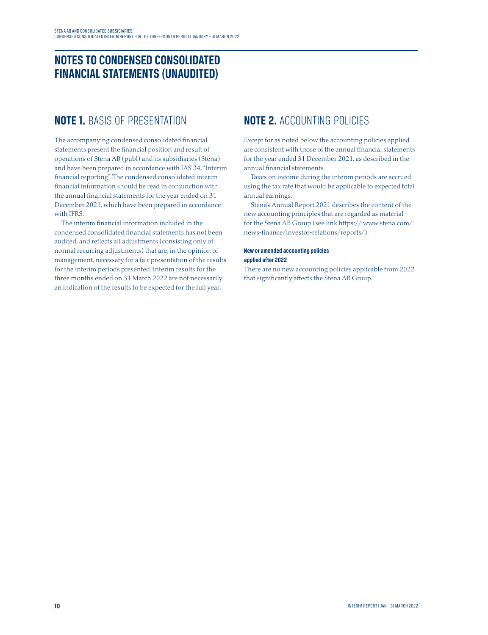### **NOTES TO CONDENSED CONSOLIDATED FINANCIAL STATEMENTS (UNAUDITED)**

### **NOTE 1.** BASIS OF PRESENTATION

The accompanying condensed consolidated financial statements present the financial position and result of operations of Stena AB (publ) and its subsidiaries (Stena) and have been prepared in accordance with IAS 34, "Interim financial reporting". The condensed consolidated interim financial information should be read in conjunction with the annual financial statements for the year ended on 31 December 2021, which have been prepared in accordance with IFRS.

The interim financial information included in the condensed consolidated financial statements has not been audited, and reflects all adjustments (consisting only of normal recurring adjustments) that are, in the opinion of management, necessary for a fair presentation of the results for the interim periods presented. Interim results for the three months ended on 31 March 2022 are not necessarily an indication of the results to be expected for the full year.

### **NOTE 2.** ACCOUNTING POLICIES

Except for as noted below the accounting policies applied are consistent with those of the annual financial statements for the year ended 31 December 2021, as described in the annual financial statements.

Taxes on income during the interim periods are accrued using the tax rate that would be applicable to expected total annual earnings.

Stena's Annual Report 2021 describes the content of the new accounting principles that are regarded as material for the Stena AB Group (see link https:// www.stena.com/ news-finance/investor-relations/reports/).

#### **New or amended accounting policies applied after 2022**

There are no new accounting policies applicable from 2022 that significantly affects the Stena AB Group.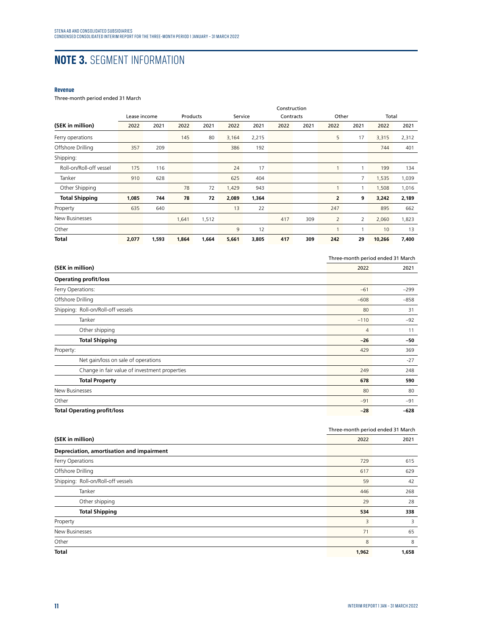# **NOTE 3.** SEGMENT INFORMATION

#### **Revenue**

#### Three-month period ended 31 March

|                         |              |       |          |       |         |       | Construction |      |                |      |        |       |
|-------------------------|--------------|-------|----------|-------|---------|-------|--------------|------|----------------|------|--------|-------|
|                         | Lease income |       | Products |       | Service |       | Contracts    |      | Other          |      | Total  |       |
| (SEK in million)        | 2022         | 2021  | 2022     | 2021  | 2022    | 2021  | 2022         | 2021 | 2022           | 2021 | 2022   | 2021  |
| Ferry operations        |              |       | 145      | 80    | 3,164   | 2,215 |              |      | 5              | 17   | 3,315  | 2,312 |
| Offshore Drilling       | 357          | 209   |          |       | 386     | 192   |              |      |                |      | 744    | 401   |
| Shipping:               |              |       |          |       |         |       |              |      |                |      |        |       |
| Roll-on/Roll-off vessel | 175          | 116   |          |       | 24      | 17    |              |      | 1              | 1    | 199    | 134   |
| Tanker                  | 910          | 628   |          |       | 625     | 404   |              |      |                | 7    | 1,535  | 1,039 |
| Other Shipping          |              |       | 78       | 72    | 1,429   | 943   |              |      | 1              | 1    | 1,508  | 1,016 |
| <b>Total Shipping</b>   | 1,085        | 744   | 78       | 72    | 2,089   | 1,364 |              |      | $\overline{2}$ | 9    | 3,242  | 2,189 |
| Property                | 635          | 640   |          |       | 13      | 22    |              |      | 247            |      | 895    | 662   |
| New Businesses          |              |       | 1,641    | 1,512 |         |       | 417          | 309  | $\overline{2}$ | 2    | 2,060  | 1,823 |
| Other                   |              |       |          |       | 9       | 12    |              |      | 1              | 1    | 10     | 13    |
| Total                   | 2,077        | 1,593 | 1,864    | 1,664 | 5,661   | 3,805 | 417          | 309  | 242            | 29   | 10,266 | 7,400 |

|                                    |                                               |                | Three-month period ended 31 March |
|------------------------------------|-----------------------------------------------|----------------|-----------------------------------|
| (SEK in million)                   |                                               | 2022           | 2021                              |
| <b>Operating profit/loss</b>       |                                               |                |                                   |
| Ferry Operations:                  |                                               | $-61$          | $-299$                            |
| Offshore Drilling                  |                                               | $-608$         | $-858$                            |
|                                    | Shipping: Roll-on/Roll-off vessels            | 80             | 31                                |
| Tanker                             |                                               | $-110$         | $-92$                             |
|                                    | Other shipping                                | $\overline{4}$ | 11                                |
|                                    | <b>Total Shipping</b>                         | $-26$          | -50                               |
| Property:                          |                                               | 429            | 369                               |
|                                    | Net gain/loss on sale of operations           |                | $-27$                             |
|                                    | Change in fair value of investment properties | 249            | 248                               |
|                                    | <b>Total Property</b>                         | 678            | 590                               |
| New Businesses                     |                                               | 80             | 80                                |
| Other                              |                                               | $-91$          | $-91$                             |
| <b>Total Operating profit/loss</b> |                                               | $-28$          | $-628$                            |

|                                           | Three-month period ended 31 March |       |  |  |
|-------------------------------------------|-----------------------------------|-------|--|--|
| (SEK in million)                          | 2022                              | 2021  |  |  |
| Depreciation, amortisation and impairment |                                   |       |  |  |
| Ferry Operations                          | 729                               | 615   |  |  |
| Offshore Drilling                         | 617                               | 629   |  |  |
| Shipping: Roll-on/Roll-off vessels        | 59                                | 42    |  |  |
| Tanker                                    | 446                               | 268   |  |  |
| Other shipping                            | 29                                | 28    |  |  |
| <b>Total Shipping</b>                     | 534                               | 338   |  |  |
| Property                                  | 3                                 | 3     |  |  |
| New Businesses                            | 71                                | 65    |  |  |
| Other                                     | 8                                 | 8     |  |  |
| <b>Total</b>                              | 1,962                             | 1,658 |  |  |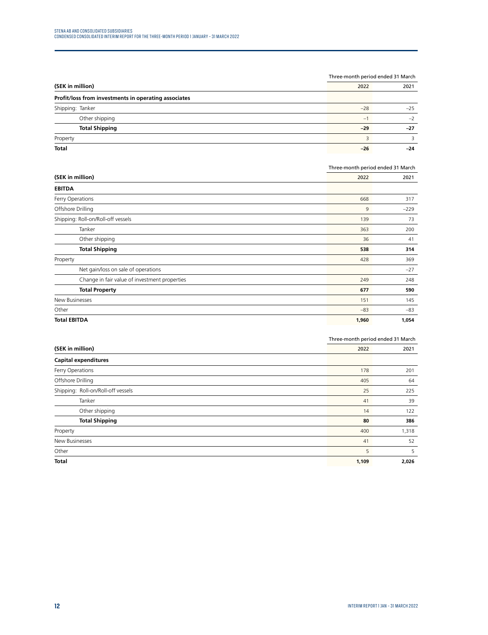|                                                      |       | Three-month period ended 31 March |  |  |
|------------------------------------------------------|-------|-----------------------------------|--|--|
| (SEK in million)                                     |       | 2021                              |  |  |
| Profit/loss from investments in operating associates |       |                                   |  |  |
| Shipping: Tanker                                     | $-28$ | $-25$                             |  |  |
| Other shipping                                       | $-1$  | $-2$                              |  |  |
| <b>Total Shipping</b>                                | $-29$ | $-27$                             |  |  |
| Property                                             |       |                                   |  |  |
| <b>Total</b>                                         | $-26$ | $-24$                             |  |  |

|                                               | Three-month period ended 31 March |        |
|-----------------------------------------------|-----------------------------------|--------|
| (SEK in million)                              | 2022                              | 2021   |
| <b>EBITDA</b>                                 |                                   |        |
| Ferry Operations                              | 668                               | 317    |
| Offshore Drilling                             | 9                                 | $-229$ |
| Shipping: Roll-on/Roll-off vessels            | 139                               | 73     |
| Tanker                                        | 363                               | 200    |
| Other shipping                                | 36                                | 41     |
| <b>Total Shipping</b>                         | 538                               | 314    |
| Property                                      | 428                               | 369    |
| Net gain/loss on sale of operations           |                                   | $-27$  |
| Change in fair value of investment properties | 249                               | 248    |
| <b>Total Property</b>                         | 677                               | 590    |
| New Businesses                                | 151                               | 145    |
| Other                                         | $-83$                             | $-83$  |
| <b>Total EBITDA</b>                           | 1,960                             | 1,054  |

|                                    | Three-month period ended 31 March |       |
|------------------------------------|-----------------------------------|-------|
| (SEK in million)                   | 2022                              | 2021  |
| <b>Capital expenditures</b>        |                                   |       |
| Ferry Operations                   | 178                               | 201   |
| Offshore Drilling                  | 405                               | 64    |
| Shipping: Roll-on/Roll-off vessels | 25                                | 225   |
| Tanker                             | 41                                | 39    |
| Other shipping                     | 14                                | 122   |
| <b>Total Shipping</b>              | 80                                | 386   |
| Property                           | 400                               | 1,318 |
| New Businesses                     | 41                                | 52    |
| Other                              | 5                                 | 5     |
| <b>Total</b>                       | 1,109                             | 2,026 |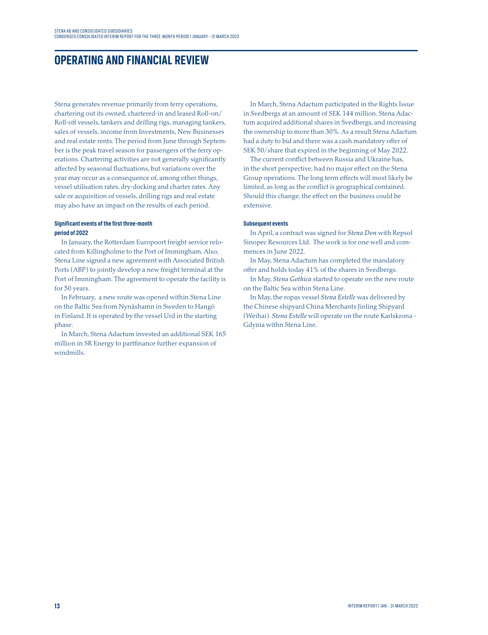### **OPERATING AND FINANCIAL REVIEW**

Stena generates revenue primarily from ferry operations, chartering out its owned, chartered-in and leased Roll-on/ Roll-off vessels, tankers and drilling rigs, managing tankers, sales of vessels, income from Investments, New Businesses and real estate rents. The period from June through September is the peak travel season for passengers of the ferry operations. Chartering activities are not generally significantly affected by seasonal fluctuations, but variations over the year may occur as a consequence of, among other things, vessel utilisation rates, dry-docking and charter rates. Any sale or acquisition of vessels, drilling rigs and real estate may also have an impact on the results of each period.

#### **Significant events of the first three-month period of 2022**

In January, the Rotterdam Europoort freight service relocated from Killingholme to the Port of Immingham. Also, Stena Line signed a new agreement with Associated British Ports (ABP) to jointly develop a new freight terminal at the Port of Immingham. The agreement to operate the facility is for 50 years.

In February, a new route was opened within Stena Line on the Baltic Sea from Nynäshamn in Sweden to Hangö in Finland. It is operated by the vessel Urd in the starting phase.

In March, Stena Adactum invested an additional SEK 165 million in SR Energy to partfinance further expansion of windmills.

In March, Stena Adactum participated in the Rights Issue in Svedbergs at an amount of SEK 144 million. Stena Adactum acquired additional shares in Svedbergs, and increasing the ownership to more than 30%. As a result Stena Adactum had a duty to bid and there was a cash mandatory offer of SEK 50/share that expired in the beginning of May 2022.

The current conflict between Russia and Ukraine has, in the short perspective, had no major effect on the Stena Group operations. The long term effects will most likely be limited, as long as the conflict is geographical contained. Should this change, the effect on the business could be extensive.

#### **Subsequent events**

In April, a contract was signed for *Stena Don* with Repsol Sinopec Resources Ltd. The work is for one well and commences in June 2022.

In May, Stena Adactum has completed the mandatory offer and holds today 41% of the shares in Svedbergs.

In May, *Stena Gothica* started to operate on the new route on the Baltic Sea within Stena Line.

In May, the ropax vessel *Stena Estelle* was delivered by the Chinese shipyard China Merchants Jinling Shipyard (Weihai). *Stena Estelle* will operate on the route Karlskrona - Gdynia withn Stena Line.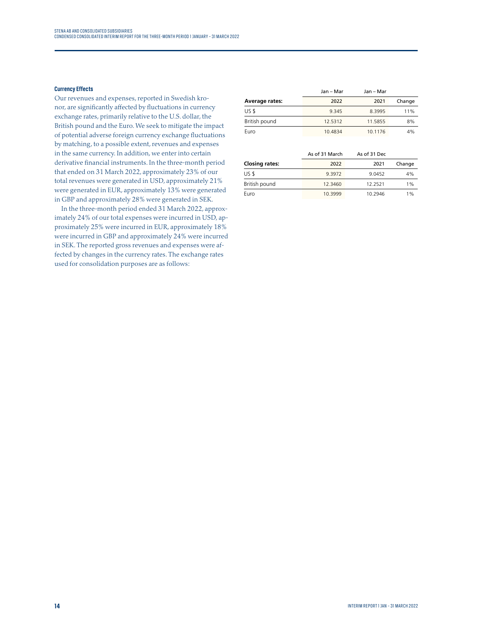#### **Currency Effects**

Our revenues and expenses, reported in Swedish kronor, are significantly affected by fluctuations in currency exchange rates, primarily relative to the U.S. dollar, the British pound and the Euro. We seek to mitigate the impact of potential adverse foreign currency exchange fluctuations by matching, to a possible extent, revenues and expenses in the same currency. In addition, we enter into certain derivative financial instruments. In the three-month period that ended on 31 March 2022, approximately 23% of our total revenues were generated in USD, approximately 21% were generated in EUR, approximately 13% were generated in GBP and approximately 28% were generated in SEK.

In the three-month period ended 31 March 2022, approximately 24% of our total expenses were incurred in USD, approximately 25% were incurred in EUR, approximately 18% were incurred in GBP and approximately 24% were incurred in SEK. The reported gross revenues and expenses were affected by changes in the currency rates. The exchange rates used for consolidation purposes are as follows:

|                       | Jan – Mar | Jan – Mar |        |
|-----------------------|-----------|-----------|--------|
| <b>Average rates:</b> | 2022      | 2021      | Change |
| US \$                 | 9 345     | 8.3995    | 11%    |
| British pound         | 12.5312   | 11.5855   | 8%     |
| Euro                  | 10.4834   | 10.1176   | 4%     |

|                       | As of 31 March | As of 31 Dec |        |
|-----------------------|----------------|--------------|--------|
| <b>Closing rates:</b> | 2022           | 2021         | Change |
| US \$                 | 9.3972         | 9.0452       | 4%     |
| British pound         | 12.3460        | 12.2521      | 1%     |
| Euro                  | 10.3999        | 10.2946      | 1%     |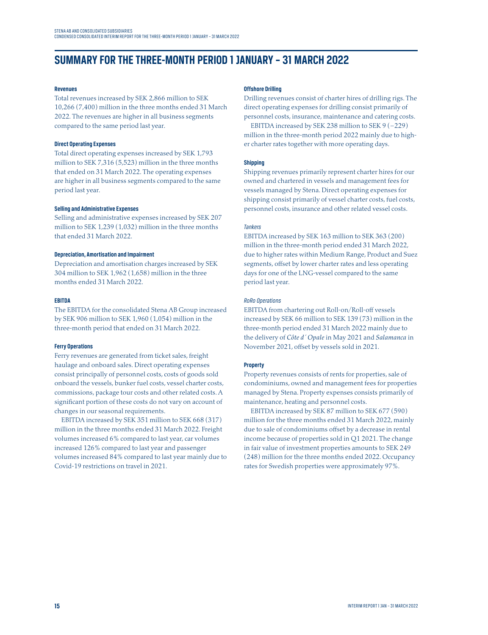### **SUMMARY FOR THE THREE-MONTH PERIOD 1 JANUARY – 31 MARCH 2022**

#### **Revenues**

Total revenues increased by SEK 2,866 million to SEK 10,266 (7,400) million in the three months ended 31 March 2022. The revenues are higher in all business segments compared to the same period last year.

#### **Direct Operating Expenses**

Total direct operating expenses increased by SEK 1,793 million to SEK 7,316 (5,523) million in the three months that ended on 31 March 2022. The operating expenses are higher in all business segments compared to the same period last year.

#### **Selling and Administrative Expenses**

Selling and administrative expenses increased by SEK 207 million to SEK 1,239 (1,032) million in the three months that ended 31 March 2022.

#### **Depreciation, Amortisation and Impairment**

Depreciation and amortisation charges increased by SEK 304 million to SEK 1,962 (1,658) million in the three months ended 31 March 2022.

#### **EBITDA**

The EBITDA for the consolidated Stena AB Group increased by SEK 906 million to SEK 1,960 (1,054) million in the three-month period that ended on 31 March 2022.

#### **Ferry Operations**

Ferry revenues are generated from ticket sales, freight haulage and onboard sales. Direct operating expenses consist principally of personnel costs, costs of goods sold onboard the vessels, bunker fuel costs, vessel charter costs, commissions, package tour costs and other related costs. A significant portion of these costs do not vary on account of changes in our seasonal requirements.

EBITDA increased by SEK 351 million to SEK 668 (317) million in the three months ended 31 March 2022. Freight volumes increased 6% compared to last year, car volumes increased 126% compared to last year and passenger volumes increased 84% compared to last year mainly due to Covid-19 restrictions on travel in 2021.

#### **Offshore Drilling**

Drilling revenues consist of charter hires of drilling rigs. The direct operating expenses for drilling consist primarily of personnel costs, insurance, maintenance and catering costs.

EBITDA increased by SEK 238 million to SEK 9 (–229) million in the three-month period 2022 mainly due to higher charter rates together with more operating days.

#### **Shipping**

Shipping revenues primarily represent charter hires for our owned and chartered in vessels and management fees for vessels managed by Stena. Direct operating expenses for shipping consist primarily of vessel charter costs, fuel costs, personnel costs, insurance and other related vessel costs.

#### *Tankers*

EBITDA increased by SEK 163 million to SEK 363 (200) million in the three-month period ended 31 March 2022, due to higher rates within Medium Range, Product and Suez segments, offset by lower charter rates and less operating days for one of the LNG-vessel compared to the same period last year.

#### *RoRo Operations*

EBITDA from chartering out Roll-on/Roll-off vessels increased by SEK 66 million to SEK 139 (73) million in the three-month period ended 31 March 2022 mainly due to the delivery of *Côte d´ Opale* in May 2021 and *Salamanca* in November 2021, offset by vessels sold in 2021.

#### **Property**

Property revenues consists of rents for properties, sale of condominiums, owned and management fees for properties managed by Stena. Property expenses consists primarily of maintenance, heating and personnel costs.

EBITDA increased by SEK 87 million to SEK 677 (590) million for the three months ended 31 March 2022, mainly due to sale of condominiums offset by a decrease in rental income because of properties sold in Q1 2021. The change in fair value of investment properties amounts to SEK 249 (248) million for the three months ended 2022. Occupancy rates for Swedish properties were approximately 97%.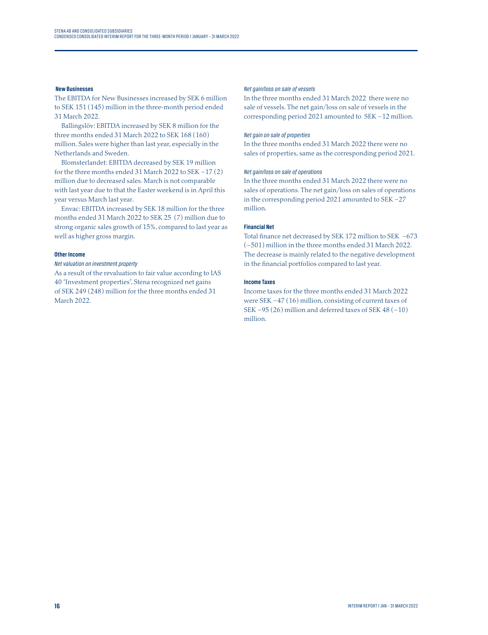#### **New Businesses**

The EBITDA for New Businesses increased by SEK 6 million to SEK 151 (145) million in the three-month period ended 31 March 2022.

Ballingslöv: EBITDA increased by SEK 8 million for the three months ended 31 March 2022 to SEK 168 (160) million. Sales were higher than last year, especially in the Netherlands and Sweden.

Blomsterlandet: EBITDA decreased by SEK 19 million for the three months ended 31 March 2022 to SEK –17 (2) million due to decreased sales. March is not comparable with last year due to that the Easter weekend is in April this year versus March last year.

Envac: EBITDA increased by SEK 18 million for the three months ended 31 March 2022 to SEK 25 (7) million due to strong organic sales growth of 15%, compared to last year as well as higher gross margin.

#### **Other Income**

#### *Net valuation on investment property*

As a result of the revaluation to fair value according to IAS 40 "Investment properties", Stena recognized net gains of SEK 249 (248) million for the three months ended 31 March 2022.

#### *Net gain/loss on sale of vessels*

In the three months ended 31 March 2022 there were no sale of vessels. The net gain/loss on sale of vessels in the corresponding period 2021 amounted to SEK –12 million.

#### *Net gain on sale of properties*

In the three months ended 31 March 2022 there were no sales of properties, same as the corresponding period 2021.

#### *Net gain/loss on sale of operations*

In the three months ended 31 March 2022 there were no sales of operations. The net gain/loss on sales of operations in the corresponding period 2021 amounted to SEK –27 million.

#### **Financial Net**

Total finance net decreased by SEK 172 million to SEK –673 (–501) million in the three months ended 31 March 2022. The decrease is mainly related to the negative development in the financial portfolios compared to last year.

#### **Income Taxes**

Income taxes for the three months ended 31 March 2022 were SEK –47 (16) million, consisting of current taxes of SEK  $-95(26)$  million and deferred taxes of SEK 48  $(-10)$ million.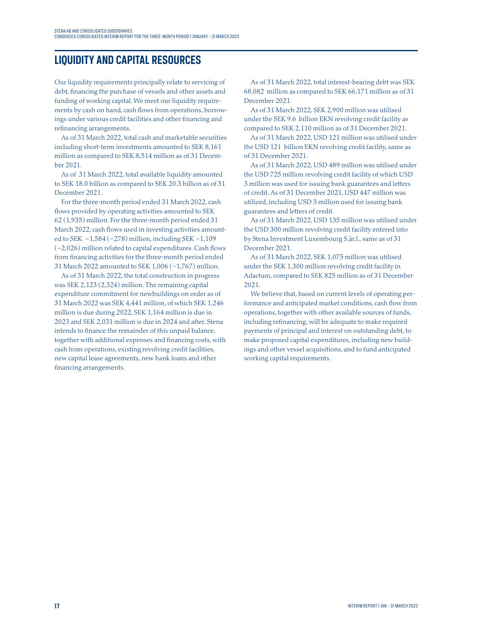### **LIQUIDITY AND CAPITAL RESOURCES**

Our liquidity requirements principally relate to servicing of debt, financing the purchase of vessels and other assets and funding of working capital. We meet our liquidity requirements by cash on hand, cash flows from operations, borrowings under various credit facilities and other financing and refinancing arrangements.

As of 31 March 2022, total cash and marketable securities including short-term investments amounted to SEK 8,161 million as compared to SEK 8,514 million as of 31 December 2021.

As of 31 March 2022, total available liquidity amounted to SEK 18.0 billion as compared to SEK 20.3 billion as of 31 December 2021.

For the three-month period ended 31 March 2022, cash flows provided by operating activities amounted to SEK 62 (1,935) million. For the three-month period ended 31 March 2022, cash flows used in investing activities amounted to SEK –1,584 (–278) million, including SEK –1,109 (–2,026) million related to capital expenditures. Cash flows from financing activities for the three-month period ended 31 March 2022 amounted to SEK 1,006 (–1,767) million.

As of 31 March 2022, the total construction in progress was SEK 2,123 (2,324) million. The remaining capital expenditure commitment for newbuildings on order as of 31 March 2022 was SEK 4,441 million, of which SEK 1,246 million is due during 2022, SEK 1,164 million is due in 2023 and SEK 2,031 million is due in 2024 and after. Stena intends to finance the remainder of this unpaid balance, together with additional expenses and financing costs, with cash from operations, existing revolving credit facilities, new capital lease agreements, new bank loans and other financing arrangements.

As of 31 March 2022, total interest-bearing debt was SEK 68,082 million as compared to SEK 66,171 million as of 31 December 2021.

As of 31 March 2022, SEK 2,900 million was utilised under the SEK 9.6 billion EKN revolving credit facility as compared to SEK 2,110 million as of 31 December 2021.

As of 31 March 2022, USD 121 million was utilised under the USD 121 billion EKN revolving credit facility, same as of 31 December 2021.

As of 31 March 2022, USD 489 million was utilised under the USD 725 million revolving credit facility of which USD 3 million was used for issuing bank guarantees and letters of credit. As of 31 December 2021, USD 447 million was utilized, including USD 3 million used for issuing bank guarantees and letters of credit.

As of 31 March 2022, USD 135 million was utilised under the USD 300 million revolving credit facility entered into by Stena Investment Luxembourg S.àr.l., same as of 31 December 2021.

As of 31 March 2022, SEK 1,075 million was utilised under the SEK 1,300 million revolving credit facility in Adactum, compared to SEK 825 million as of 31 December 2021.

We believe that, based on current levels of operating performance and anticipated market conditions, cash flow from operations, together with other available sources of funds, including refinancing, will be adequate to make required payments of principal and interest on outstanding debt, to make proposed capital expenditures, including new buildings and other vessel acquisitions, and to fund anticipated working capital requirements.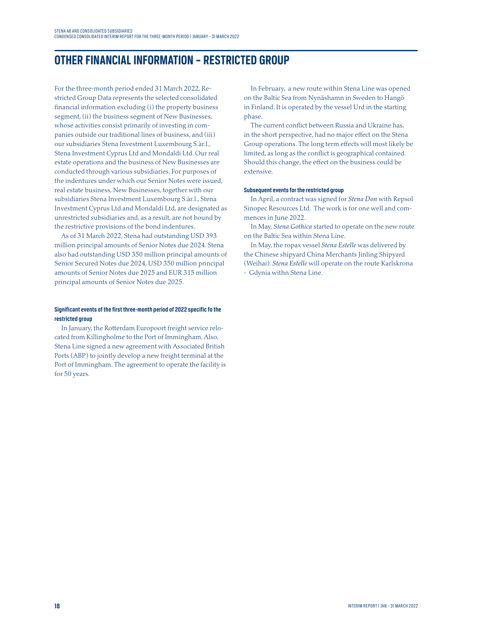### **OTHER FINANCIAL INFORMATION – RESTRICTED GROUP**

For the three-month period ended 31 March 2022, Restricted Group Data represents the selected consolidated financial information excluding (i) the property business segment, (ii) the business segment of New Businesses, whose activities consist primarily of investing in companies outside our traditional lines of business, and (iii) our subsidiaries Stena Investment Luxembourg S.àr.l., Stena Investment Cyprus Ltd and Mondaldi Ltd. Our real estate operations and the business of New Businesses are conducted through various subsidiaries. For purposes of the indentures under which our Senior Notes were issued, real estate business, New Businesses, together with our subsidiaries Stena Investment Luxembourg S.àr.l., Stena Investment Cyprus Ltd and Mondaldi Ltd, are designated as unrestricted subsidiaries and, as a result, are not bound by the restrictive provisions of the bond indentures.

As of 31 March 2022, Stena had outstanding USD 393 million principal amounts of Senior Notes due 2024. Stena also had outstanding USD 350 million principal amounts of Senior Secured Notes due 2024, USD 350 million principal amounts of Senior Notes due 2025 and EUR 315 million principal amounts of Senior Notes due 2025.

#### **Significant events of the first three-month period of 2022 specific fo the restricted group**

In January, the Rotterdam Europoort freight service relocated from Killingholme to the Port of Immingham. Also, Stena Line signed a new agreement with Associated British Ports (ABP) to jointly develop a new freight terminal at the Port of Immingham. The agreement to operate the facility is for 50 years.

In February, a new route within Stena Line was opened on the Baltic Sea from Nynäshamn in Sweden to Hangö in Finland. It is operated by the vessel Urd in the starting phase.

The current conflict between Russia and Ukraine has, in the short perspective, had no major effect on the Stena Group operations. The long term effects will most likely be limited, as long as the conflict is geographical contained. Should this change, the effect on the business could be extensive.

#### **Subsequent events for the restricted group**

In April, a contract was signed for *Stena Don* with Repsol Sinopec Resources Ltd. The work is for one well and commences in June 2022.

In May, *Stena Gothica* started to operate on the new route on the Baltic Sea within Stena Line.

In May, the ropax vessel *Stena Estelle* was delivered by the Chinese shipyard China Merchants Jinling Shipyard (Weihai). *Stena Estelle* will operate on the route Karlskrona - Gdynia withn Stena Line.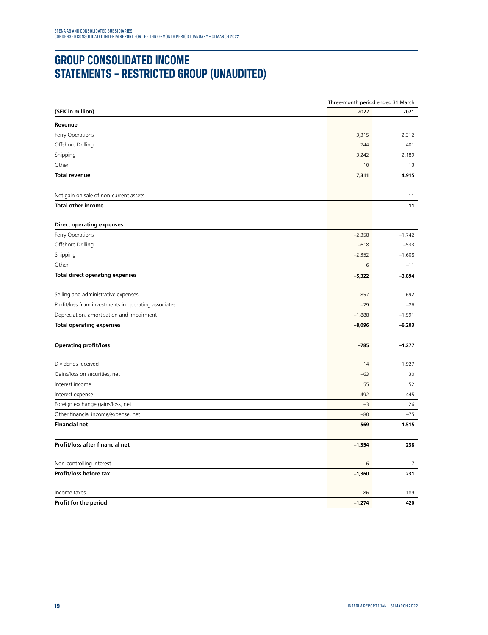# **GROUP CONSOLIDATED INCOME STATEMENTS – RESTRICTED GROUP (UNAUDITED)**

|                                                      |          | Three-month period ended 31 March |  |
|------------------------------------------------------|----------|-----------------------------------|--|
| (SEK in million)                                     | 2022     | 2021                              |  |
| Revenue                                              |          |                                   |  |
| Ferry Operations                                     | 3,315    | 2,312                             |  |
| Offshore Drilling                                    | 744      | 401                               |  |
| Shipping                                             | 3,242    | 2,189                             |  |
| Other                                                | 10       | 13                                |  |
| <b>Total revenue</b>                                 | 7,311    | 4,915                             |  |
| Net gain on sale of non-current assets               |          | 11                                |  |
| <b>Total other income</b>                            |          | 11                                |  |
| <b>Direct operating expenses</b>                     |          |                                   |  |
| Ferry Operations                                     | $-2,358$ | $-1,742$                          |  |
| Offshore Drilling                                    | $-618$   | $-533$                            |  |
| Shipping                                             | $-2,352$ | $-1,608$                          |  |
| Other                                                | 6        | $-11$                             |  |
| <b>Total direct operating expenses</b>               | $-5,322$ | $-3,894$                          |  |
| Selling and administrative expenses                  | $-857$   | $-692$                            |  |
| Profit/loss from investments in operating associates | $-29$    | $-26$                             |  |
| Depreciation, amortisation and impairment            | $-1,888$ | $-1,591$                          |  |
| <b>Total operating expenses</b>                      | $-8,096$ | $-6,203$                          |  |
| <b>Operating profit/loss</b>                         | $-785$   | $-1,277$                          |  |
| Dividends received                                   | 14       | 1,927                             |  |
| Gains/loss on securities, net                        | $-63$    | 30                                |  |
| Interest income                                      | 55       | 52                                |  |
| Interest expense                                     | $-492$   | $-445$                            |  |
| Foreign exchange gains/loss, net                     | $-3$     | 26                                |  |
| Other financial income/expense, net                  | $-80$    | $-75$                             |  |
| <b>Financial net</b>                                 | $-569$   | 1,515                             |  |
| Profit/loss after financial net                      | $-1,354$ | 238                               |  |
| Non-controlling interest                             | $-6$     | $-7$                              |  |
| Profit/loss before tax                               | $-1,360$ | 231                               |  |
| Income taxes                                         | 86       | 189                               |  |
| Profit for the period                                | $-1,274$ | 420                               |  |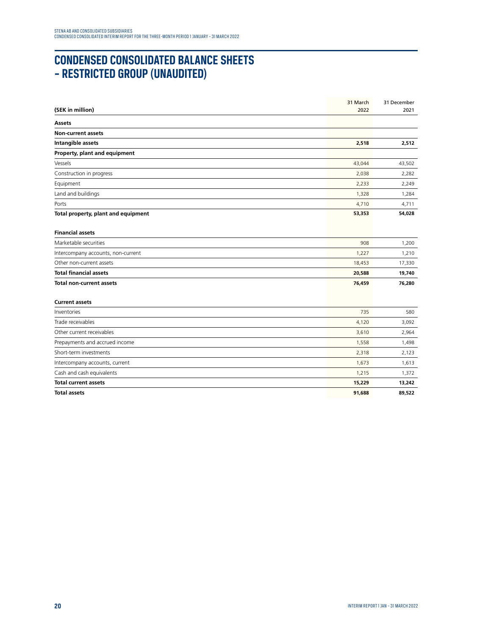# **CONDENSED CONSOLIDATED BALANCE SHEETS – RESTRICTED GROUP (UNAUDITED)**

|                                     | 31 March | 31 December |
|-------------------------------------|----------|-------------|
| (SEK in million)                    | 2022     | 2021        |
| <b>Assets</b>                       |          |             |
| <b>Non-current assets</b>           |          |             |
| Intangible assets                   | 2,518    | 2,512       |
| Property, plant and equipment       |          |             |
| Vessels                             | 43,044   | 43,502      |
| Construction in progress            | 2,038    | 2,282       |
| Equipment                           | 2,233    | 2,249       |
| Land and buildings                  | 1,328    | 1,284       |
| Ports                               | 4,710    | 4,711       |
| Total property, plant and equipment | 53,353   | 54,028      |
|                                     |          |             |
| <b>Financial assets</b>             |          |             |
| Marketable securities               | 908      | 1,200       |
| Intercompany accounts, non-current  | 1,227    | 1,210       |
| Other non-current assets            | 18,453   | 17,330      |
| <b>Total financial assets</b>       | 20,588   | 19,740      |
| <b>Total non-current assets</b>     | 76,459   | 76,280      |
| <b>Current assets</b>               |          |             |
| Inventories                         | 735      | 580         |
| Trade receivables                   | 4,120    | 3,092       |
| Other current receivables           | 3,610    | 2,964       |
| Prepayments and accrued income      | 1,558    | 1,498       |
| Short-term investments              | 2,318    | 2,123       |
| Intercompany accounts, current      | 1,673    | 1,613       |
| Cash and cash equivalents           | 1,215    | 1,372       |
| <b>Total current assets</b>         | 15,229   | 13,242      |
| <b>Total assets</b>                 | 91,688   | 89,522      |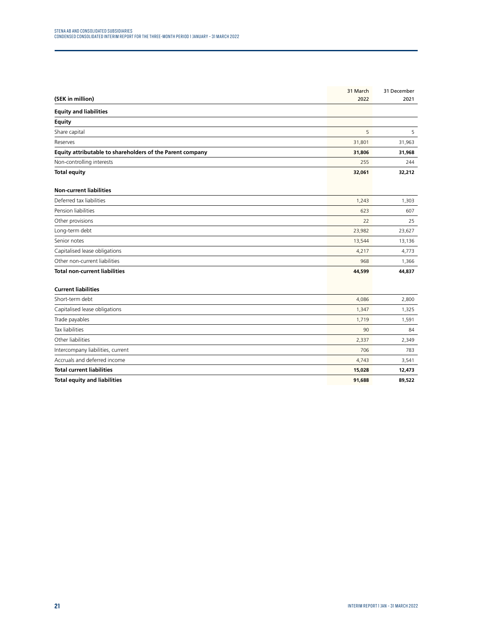|                                                           | 31 March | 31 December |
|-----------------------------------------------------------|----------|-------------|
| (SEK in million)                                          | 2022     | 2021        |
| <b>Equity and liabilities</b>                             |          |             |
| <b>Equity</b>                                             |          |             |
| Share capital                                             | 5        | 5           |
| Reserves                                                  | 31,801   | 31,963      |
| Equity attributable to shareholders of the Parent company | 31,806   | 31,968      |
| Non-controlling interests                                 | 255      | 244         |
| <b>Total equity</b>                                       | 32,061   | 32,212      |
| <b>Non-current liabilities</b>                            |          |             |
| Deferred tax liabilities                                  | 1,243    | 1,303       |
| Pension liabilities                                       | 623      | 607         |
| Other provisions                                          | 22       | 25          |
| Long-term debt                                            | 23,982   | 23,627      |
| Senior notes                                              | 13,544   | 13,136      |
| Capitalised lease obligations                             | 4,217    | 4,773       |
| Other non-current liabilities                             | 968      | 1,366       |
| <b>Total non-current liabilities</b>                      | 44,599   | 44,837      |
| <b>Current liabilities</b>                                |          |             |
| Short-term debt                                           | 4,086    | 2,800       |
| Capitalised lease obligations                             | 1,347    | 1,325       |
| Trade payables                                            | 1,719    | 1,591       |
| <b>Tax liabilities</b>                                    | 90       | 84          |
| Other liabilities                                         | 2,337    | 2,349       |
| Intercompany liabilities, current                         | 706      | 783         |
| Accruals and deferred income                              | 4,743    | 3,541       |
| <b>Total current liabilities</b>                          | 15,028   | 12,473      |
| <b>Total equity and liabilities</b>                       | 91,688   | 89,522      |